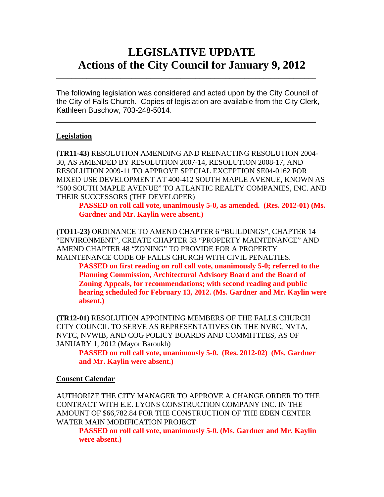# **LEGISLATIVE UPDATE Actions of the City Council for January 9, 2012**

The following legislation was considered and acted upon by the City Council of the City of Falls Church. Copies of legislation are available from the City Clerk, Kathleen Buschow, 703-248-5014.

 $\blacksquare$ 

 $\mathcal{L}_\text{max}$  and  $\mathcal{L}_\text{max}$  and  $\mathcal{L}_\text{max}$  and  $\mathcal{L}_\text{max}$  and  $\mathcal{L}_\text{max}$  and  $\mathcal{L}_\text{max}$ 

## **Legislation**

**(TR11-43)** RESOLUTION AMENDING AND REENACTING RESOLUTION 2004- 30, AS AMENDED BY RESOLUTION 2007-14, RESOLUTION 2008-17, AND RESOLUTION 2009-11 TO APPROVE SPECIAL EXCEPTION SE04-0162 FOR MIXED USE DEVELOPMENT AT 400-412 SOUTH MAPLE AVENUE, KNOWN AS "500 SOUTH MAPLE AVENUE" TO ATLANTIC REALTY COMPANIES, INC. AND THEIR SUCCESSORS (THE DEVELOPER)

**PASSED on roll call vote, unanimously 5-0, as amended. (Res. 2012-01) (Ms. Gardner and Mr. Kaylin were absent.)** 

**(TO11-23)** ORDINANCE TO AMEND CHAPTER 6 "BUILDINGS", CHAPTER 14 "ENVIRONMENT", CREATE CHAPTER 33 "PROPERTY MAINTENANCE" AND AMEND CHAPTER 48 "ZONING" TO PROVIDE FOR A PROPERTY MAINTENANCE CODE OF FALLS CHURCH WITH CIVIL PENALTIES.

**PASSED on first reading on roll call vote, unanimously 5-0; referred to the Planning Commission, Architectural Advisory Board and the Board of Zoning Appeals, for recommendations; with second reading and public hearing scheduled for February 13, 2012. (Ms. Gardner and Mr. Kaylin were absent.)** 

**(TR12-01)** RESOLUTION APPOINTING MEMBERS OF THE FALLS CHURCH CITY COUNCIL TO SERVE AS REPRESENTATIVES ON THE NVRC, NVTA, NVTC, NVWIB, AND COG POLICY BOARDS AND COMMITTEES, AS OF JANUARY 1, 2012 (Mayor Baroukh)

**PASSED on roll call vote, unanimously 5-0. (Res. 2012-02) (Ms. Gardner and Mr. Kaylin were absent.)**

#### **Consent Calendar**

AUTHORIZE THE CITY MANAGER TO APPROVE A CHANGE ORDER TO THE CONTRACT WITH E.E. LYONS CONSTRUCTION COMPANY INC. IN THE AMOUNT OF \$66,782.84 FOR THE CONSTRUCTION OF THE EDEN CENTER WATER MAIN MODIFICATION PROJECT

**PASSED on roll call vote, unanimously 5-0. (Ms. Gardner and Mr. Kaylin were absent.)**